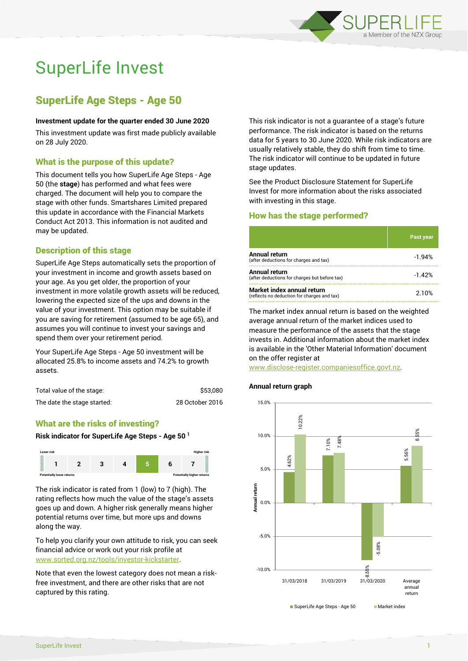

# SuperLife Invest

# SuperLife Age Steps - Age 50

## **Investment update for the quarter ended 30 June 2020**

This investment update was first made publicly available on 28 July 2020.

# What is the purpose of this update?

This document tells you how SuperLife Age Steps - Age 50 (the **stage**) has performed and what fees were charged. The document will help you to compare the stage with other funds. Smartshares Limited prepared this update in accordance with the Financial Markets Conduct Act 2013. This information is not audited and may be updated.

# Description of this stage

SuperLife Age Steps automatically sets the proportion of your investment in income and growth assets based on your age. As you get older, the proportion of your investment in more volatile growth assets will be reduced, lowering the expected size of the ups and downs in the value of your investment. This option may be suitable if you are saving for retirement (assumed to be age 65), and assumes you will continue to invest your savings and spend them over your retirement period.

Your SuperLife Age Steps - Age 50 investment will be allocated 25.8% to income assets and 74.2% to growth assets.

| Total value of the stage:   | \$53,080        |  |
|-----------------------------|-----------------|--|
| The date the stage started: | 28 October 2016 |  |

# What are the risks of investing?

#### **Risk indicator for SuperLife Age Steps - Age 50 <sup>1</sup>**



The risk indicator is rated from 1 (low) to 7 (high). The rating reflects how much the value of the stage's assets goes up and down. A higher risk generally means higher potential returns over time, but more ups and downs along the way.

To help you clarify your own attitude to risk, you can seek financial advice or work out your risk profile at [www.sorted.org.nz/tools/investor-kickstarter.](http://www.sorted.org.nz/tools/investor-kickstarter)

Note that even the lowest category does not mean a riskfree investment, and there are other risks that are not captured by this rating.

This risk indicator is not a guarantee of a stage's future performance. The risk indicator is based on the returns data for 5 years to 30 June 2020. While risk indicators are usually relatively stable, they do shift from time to time. The risk indicator will continue to be updated in future stage updates.

See the Product Disclosure Statement for SuperLife Invest for more information about the risks associated with investing in this stage.

## How has the stage performed?

|                                                                           | Past year |
|---------------------------------------------------------------------------|-----------|
| Annual return<br>(after deductions for charges and tax)                   | $-1.94%$  |
| Annual return<br>(after deductions for charges but before tax)            | $-1.42%$  |
| Market index annual return<br>(reflects no deduction for charges and tax) | 2.10%     |

The market index annual return is based on the weighted average annual return of the market indices used to measure the performance of the assets that the stage invests in. Additional information about the market index is available in the 'Other Material Information' document on the offer register at

www.disclose-register.companiesoffice.govt.nz.

#### **Annual return graph**

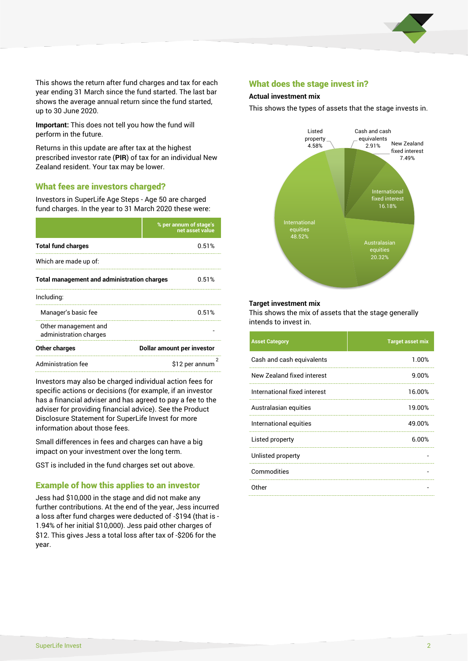

This shows the return after fund charges and tax for each year ending 31 March since the fund started. The last bar shows the average annual return since the fund started, up to 30 June 2020.

**Important:** This does not tell you how the fund will perform in the future.

Returns in this update are after tax at the highest prescribed investor rate (**PIR**) of tax for an individual New Zealand resident. Your tax may be lower.

# What fees are investors charged?

Investors in SuperLife Age Steps - Age 50 are charged fund charges. In the year to 31 March 2020 these were:

|                                                    | % per annum of stage's<br>net asset value |  |  |
|----------------------------------------------------|-------------------------------------------|--|--|
| <b>Total fund charges</b>                          | 0.51%                                     |  |  |
| Which are made up of:                              |                                           |  |  |
| <b>Total management and administration charges</b> | 0.51%                                     |  |  |
| Including:                                         |                                           |  |  |
| Manager's basic fee                                | 0.51%                                     |  |  |
| Other management and<br>administration charges     |                                           |  |  |
| Other charges                                      | Dollar amount per investor                |  |  |
| <b>Administration fee</b>                          | 2<br>\$12 per annum                       |  |  |

Investors may also be charged individual action fees for specific actions or decisions (for example, if an investor has a financial adviser and has agreed to pay a fee to the adviser for providing financial advice). See the Product Disclosure Statement for SuperLife Invest for more information about those fees.

Small differences in fees and charges can have a big impact on your investment over the long term.

GST is included in the fund charges set out above.

# Example of how this applies to an investor

Jess had \$10,000 in the stage and did not make any further contributions. At the end of the year, Jess incurred a loss after fund charges were deducted of -\$194 (that is - 1.94% of her initial \$10,000). Jess paid other charges of \$12. This gives Jess a total loss after tax of -\$206 for the year.

## What does the stage invest in?

#### **Actual investment mix**

This shows the types of assets that the stage invests in.



#### **Target investment mix**

This shows the mix of assets that the stage generally intends to invest in.

| <b>Asset Category</b>        | <b>Target asset mix</b> |
|------------------------------|-------------------------|
| Cash and cash equivalents    | 1.00%                   |
| New Zealand fixed interest   | 9.00%                   |
| International fixed interest | 16.00%                  |
| Australasian equities        | 19.00%                  |
| International equities       | 49.00%                  |
| Listed property              | 6.00%                   |
| Unlisted property            |                         |
| Commodities                  |                         |
| Other                        |                         |